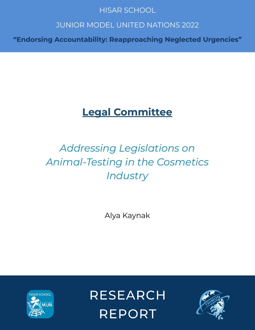# **HISAR SCHOOL**

# **JUNIOR MODEL UNITED NATIONS 2022**

"Endorsing Accountability: Reapproaching Neglected Urgencies"

# **Legal Committee**

# *Addressing Legislations on Animal-Testing in the Cosmetics Industry*

Alya Kaynak



**RESEARCH REPORT** 

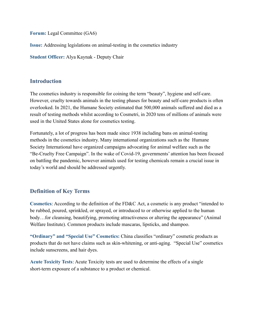**Forum:** Legal Committee (GA6)

**Issue:** Addressing legislations on animal-testing in the cosmetics industry

**Student Officer:** Alya Kaynak - Deputy Chair

### **Introduction**

The cosmetics industry is responsible for coining the term "beauty", hygiene and self-care. However, cruelty towards animals in the testing phases for beauty and self-care products is often overlooked. In 2021, the Humane Society estimated that 500,000 animals suffered and died as a result of testing methods whilst according to Cosmetri, in 2020 tens of millions of animals were used in the United States alone for cosmetics testing.

Fortunately, a lot of progress has been made since 1938 including bans on animal-testing methods in the cosmetics industry. Many international organizations such as the Humane Society International have organized campaigns advocating for animal welfare such as the "Be-Cruelty Free Campaign". In the wake of Covid-19, governments' attention has been focused on battling the pandemic, however animals used for testing chemicals remain a crucial issue in today's world and should be addressed urgently.

# **Definition of Key Terms**

**Cosmetics**: According to the definition of the FD&C Act, a cosmetic is any product "intended to be rubbed, poured, sprinkled, or sprayed, or introduced to or otherwise applied to the human body...for cleansing, beautifying, promoting attractiveness or altering the appearance" (Animal Welfare Institute). Common products include mascaras, lipsticks, and shampoo.

**"Ordinary" and "Special Use" Cosmetics:** China classifies "ordinary" cosmetic products as products that do not have claims such as skin-whitening, or anti-aging. "Special Use" cosmetics include sunscreens, and hair dyes.

**Acute Toxicity Tests**: Acute Toxicity tests are used to determine the effects of a single short-term exposure of a substance to a product or chemical.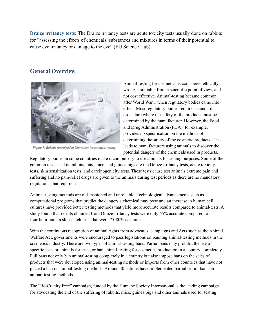**Draize irritancy tests:** The Draize irritancy tests are acute toxicity tests usually done on rabbits for "assessing the effects of chemicals, substances and mixtures in terms of their potential to cause eye irritancy or damage to the eye" (EU Science Hub).

# **General Overview**



Figure 1: Rabbits restrained in laboratory for cosmetic testing

Animal-testing for cosmetics is considered ethically wrong, unreliable from a scientific point of view, and not cost effective. Animal-testing became common after World War 1 when regulatory bodies came into effect. Most regulatory bodies require a standard procedure where the safety of the products must be determined by the manufacturer. However, the Food and Drug Administration (FDA), for example, provides no specification on the methods of determining the safety of the cosmetic products. This leads to manufacturers using animals to discover the potential dangers of the chemicals used in products.

Regulatory bodies in some countries make it compulsory to use animals for testing purposes. Some of the common tests used on rabbits, rats, mice, and guinea pigs are the Draize irritancy tests, acute toxicity tests, skin sensitization tests, and carcinogenicity tests. These tests cause test animals extreme pain and suffering and no pain-relief drugs are given to the animals during test periods as there are no mandatory regulations that require so.

Animal-testing methods are old-fashioned and unreliable. Technological advancements such as computational programs that predict the dangers a chemical may pose and an increase in human cell cultures have provided better testing methods that yield more accurate results compared to animal-tests. A study found that results obtained from Draize irritancy tests were only 65% accurate compared to four-hour human skin-patch tests that were 75-80% accurate.

With the continuous recognition of animal rights from advocates, campaigns and Acts such as the Animal Welfare Act, governments were encouraged to pass legislations on banning animal-testing methods in the cosmetics industry. There are two types of animal-testing bans: Partial bans may prohibit the use of specific tests or animals for tests, or ban animal-testing for cosmetics production in a country completely. Full bans not only ban animal-testing completely in a country but also impose bans on the sales of products that were developed using animal-testing methods or imports from other countries that have not placed a ban on animal-testing methods. Around 40 nations have implemented partial or full bans on animal-testing methods.

The "Be-Cruelty Free" campaign, funded by the Humane Society International is the leading campaign for advocating the end of the suffering of rabbits, mice, guinea pigs and other animals used for testing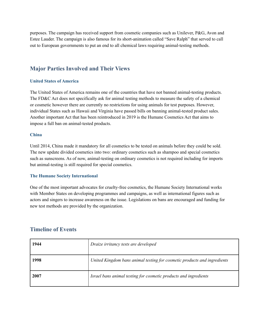purposes. The campaign has received support from cosmetic companies such as Unilever, P&G, Avon and Estee Lauder. The campaign is also famous for its short-animation called "Save Ralph" that served to call out to European governments to put an end to all chemical laws requiring animal-testing methods.

# **Major Parties Involved and Their Views**

#### **United States of America**

The United States of America remains one of the countries that have not banned animal-testing products. The FD&C Act does not specifically ask for animal testing methods to measure the safety of a chemical or cosmetic however there are currently no restrictions for using animals for test purposes. However, individual States such as Hawaii and Virginia have passed bills on banning animal-tested product sales. Another important Act that has been reintroduced in 2019 is the Humane Cosmetics Act that aims to impose a full ban on animal-tested products.

#### **China**

Until 2014, China made it mandatory for all cosmetics to be tested on animals before they could be sold. The new update divided cosmetics into two: ordinary cosmetics such as shampoo and special cosmetics such as sunscreens. As of now, animal-testing on ordinary cosmetics is not required including for imports but animal-testing is still required for special cosmetics.

#### **The Humane Society International**

One of the most important advocates for cruelty-free cosmetics, the Humane Society International works with Member States on developing programmes and campaigns, as well as international figures such as actors and singers to increase awareness on the issue. Legislations on bans are encouraged and funding for new test methods are provided by the organization.

### **Timeline of Events**

| 1944 | Draize irritancy tests are developed                                     |
|------|--------------------------------------------------------------------------|
| 1998 | United Kingdom bans animal testing for cosmetic products and ingredients |
| 2007 | Israel bans animal testing for cosmetic products and ingredients         |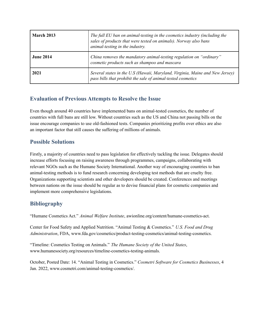| March 2013       | The full EU ban on animal-testing in the cosmetics industry (including the<br>sales of products that were tested on animals). Norway also bans<br>animal-testing in the industry. |
|------------------|-----------------------------------------------------------------------------------------------------------------------------------------------------------------------------------|
| <b>June 2014</b> | China removes the mandatory animal-testing regulation on "ordinary"<br>cosmetic products such as shampoo and mascara                                                              |
| 2021             | Several states in the U.S (Hawaii, Maryland, Virginia, Maine and New Jersey)<br>pass bills that prohibit the sale of animal-tested cosmetics                                      |

# **Evaluation of Previous Attempts to Resolve the Issue**

Even though around 40 countries have implemented bans on animal-tested cosmetics, the number of countries with full bans are still low. Without countries such as the US and China not passing bills on the issue encourage companies to use old-fashioned tests. Companies prioritizing profits over ethics are also an important factor that still causes the suffering of millions of animals.

## **Possible Solutions**

Firstly, a majority of countries need to pass legislation for effectively tackling the issue. Delegates should increase efforts focusing on raising awareness through programmes, campaigns, collaborating with relevant NGOs such as the Humane Society International. Another way of encouraging countries to ban animal-testing methods is to fund research concerning developing test methods that are cruelty free. Organizations supporting scientists and other developers should be created. Conferences and meetings between nations on the issue should be regular as to devise financial plans for cosmetic companies and implement more comprehensive legislations.

# **Bibliography**

"Humane Cosmetics Act." *Animal Welfare Institute*, awionline.org/content/humane-cosmetics-act.

Center for Food Safety and Applied Nutrition. "Animal Testing & Cosmetics." *U.S. Food and Drug Administration*, FDA, www.fda.gov/cosmetics/product-testing-cosmetics/animal-testing-cosmetics.

"Timeline: Cosmetics Testing on Animals." *The Humane Society of the United States*, www.humanesociety.org/resources/timeline-cosmetics-testing-animals.

October, Posted Date: 14. "Animal Testing in Cosmetics." *Cosmetri Software for Cosmetics Businesses*, 4 Jan. 2022, www.cosmetri.com/animal-testing-cosmetics/.